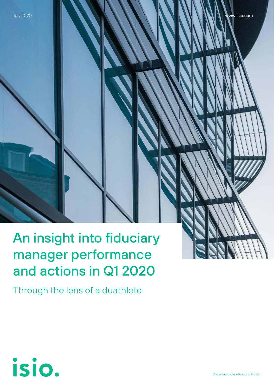# An insight into fiduciary manager performance and actions in Q1 2020

Through the lens of a duathlete

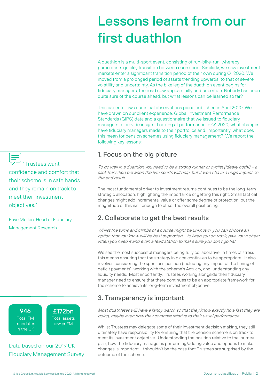# Lessons learnt from our first duathlon

A duathlon is a multi-sport event, consisting of run-bike-run, whereby participants quickly transition between each sport. Similarly, we saw investment markets enter a significant transition period of their own during Q1 2020. We moved from a prolonged period of assets trending upwards, to that of severe volatility and uncertainty. As the bike leg of the duathlon event begins for fiduciary managers, the road now appears hilly and uncertain. Nobody has been quite sure of the course ahead, but what lessons can be learned so far?

This paper follows our initial observations piece published in April 2020. We have drawn on our client experience, Global Investment Performance Standards (GIPS) data and a questionnaire that we issued to fiduciary managers to provide insight. Looking at performance in Q1 2020, what changes have fiduciary managers made to their portfolios and, importantly, what does this mean for pension schemes using fiduciary management? We report the following key lessons:

# 1. Focus on the big picture

To do well in a duathlon you need to be a strong runner or cyclist (ideally both!) – <sup>a</sup> slick transition between the two sports will help, but it won't have a huge impact on the end result.

The most fundamental driver to investment returns continues to be the long-term strategic allocation, highlighting the importance of getting this right. Small tactical changes might add incremental value or offer some degree of protection, but the magnitude of this isn't enough to offset the overall positioning.

# 2. Collaborate to get the best results

Whilst the turns and climbs of a course might be unknown, you can choose an option that you know will be best supported – to keep you on track, give you a cheer when you need it and even a feed station to make sure you don't go flat.

We see the most successful managers being fully collaborative. In times of stress this means ensuring that the strategy in place continues to be appropriate. It also involves considering the sponsor's position (including any impact of the timing of deficit payments), working with the scheme's Actuary, and, understanding any liquidity needs. Most importantly, Trustees working alongside their fiduciary manager need to ensure that there continues to be an appropriate framework for the scheme to achieve its long-term investment objective.

# 3. Transparency is important

Most duathletes will have a fancy watch so that they know exactly how fast they are going, maybe even how they compare relative to their usual performance.

Whilst Trustees may delegate some of their investment decision making, they still ultimately have responsibility for ensuring that the pension scheme is on track to meet its investment objective. Understanding the position relative to the journey plan, how the fiduciary manager is performing/adding value and options to make changes is important. It shouldn't be the case that Trustees are surprised by the outcome of the scheme.

**Trustees want** confidence and comfort that their scheme is in safe hands and they remain on track to meet their investment objectives."

Faye Mullen, Head of Fiduciary Management Research

> 946 Total FM mandates in the UK

£172bn Total assets under FM

Data based on our [2019 UK](https://www.isio.com/media/1180/fiduciary-management-survey-may20.pdf)  [Fiduciary Management Survey](https://www.isio.com/media/1180/fiduciary-management-survey-may20.pdf)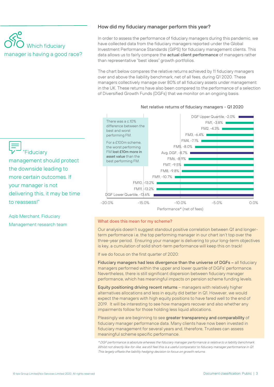# Which fiduciary manager is having a good race?

## How did my fiduciary manager perform this year?

In order to assess the performance of fiduciary managers during this pandemic, we have collected data from the fiduciary managers reported under the Global Investment Performance Standards (GIPS) for fiduciary management clients. This data allows us to fairly compare the **actual client performance** of managers rather than representative "best ideas" growth portfolios.

The chart below compares the relative returns achieved by 11 fiduciary managers over and above the liability benchmark, net of all fees, during Q1 2020. These managers collectively manage over 80% of all fiduciary assets under management in the UK. These returns have also been compared to the performance of a selection of Diversified Growth Funds (DGFs) that we monitor on an ongoing basis.



#### Net relative returns of fiduciary managers - Q1 2020



management should protect the downside leading to more certain outcomes. If your manager is not delivering this, it may be time to reassess!"

Aqib Merchant, Fiduciary Management research team

#### What does this mean for my scheme?

Our analysis doesn't suggest standout positive correlation between Q1 and longerterm performance i.e. the top performing manager in our chart isn't top over the three-year period. Ensuring your manager is delivering to your long-term objectives is key, a cumulation of solid short-term performance will keep this on track!

If we do focus on the first quarter of 2020:

Fiduciary managers had less divergence than the universe of DGFs – all fiduciary managers performed within the upper and lower quartile of DGFs' performance. Nevertheless, there is still significant dispersion between fiduciary manager performance, which has meaningful impacts on pension scheme funding levels.

Equity positioning driving recent returns – managers with relatively higher alternatives allocations and less in equity did better in Q1. However, we would expect the managers with high equity positions to have fared well to the end of 2019. It will be interesting to see how managers recover and also whether any impairments follow for those holding less liquid allocations.

Pleasingly we are beginning to see greater transparency and comparability of fiduciary manager performance data. Many clients have now been invested in fiduciary management for several years and, therefore, Trustees can assess meaningful scheme specific performance.

\* DGF performance is absolute whereas the fiduciary manager performance is relative to a liability benchmark. Whilst not directly like-for-like, we still feel this is a useful comparator to fiduciary manager performance in Q1. This largely offsets the liability hedging decision to focus on growth returns.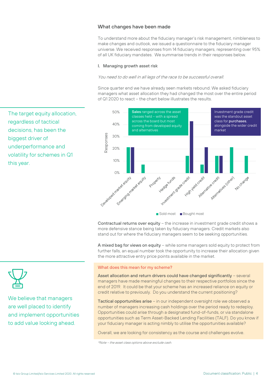## What changes have been made

To understand more about the fiduciary manager's risk management, nimbleness to make changes and outlook, we issued a questionnaire to the fiduciary manager universe. We received responses from 14 fiduciary managers, representing over 95% of all UK fiduciary mandates. We summarise trends in their responses below.

#### I. Managing growth asset risk

#### You need to do well in all legs of the race to be successful overall.

Since quarter end we have already seen markets rebound. We asked fiduciary managers what asset allocation they had changed the most over the entire period of Q1 2020 to react – the chart below illustrates the results.



Contractual returns over equity – the increase in investment grade credit shows a more defensive stance being taken by fiduciary managers. Credit markets also stand out for where the fiduciary managers seem to be seeking opportunities.

A mixed bag for views on equity – while some managers sold equity to protect from further falls, an equal number took the opportunity to increase their allocation given the more attractive entry price points available in the market.

#### What does this mean for my scheme?

Asset allocation and return drivers could have changed significantly – several managers have made meaningful changes to their respective portfolios since the end of 2019. It could be that your scheme has an increased reliance on equity or credit relative to previously. Do you understand the current positioning?

Tactical opportunities arise – in our independent oversight role we observed a number of managers increasing cash holdings over the period ready to redeploy. Opportunities could arise through a designated fund-of-funds, or via standalone opportunities such as Term Asset-Backed Lending Facilities (TALF). Do you know if your fiduciary manager is acting nimbly to utilise the opportunities available?

Overall, we are looking for consistency as the course and challenges evolve.

\*Note – the asset class options above exclude cash.

The target equity allocation, regardless of tactical decisions, has been the biggest driver of underperformance and volatility for schemes in Q1 this year.



We believe that managers are well placed to identify and implement opportunities to add value looking ahead.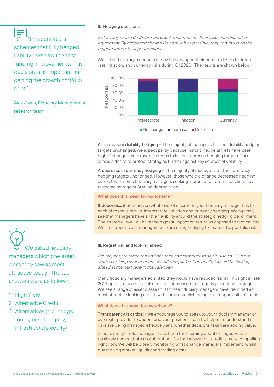"In recent years schemes that fully hedged liability risks saw the best funding improvements. This decision is as important as getting the growth portfolio right."

Alex Owen, Fiduciary Management research team

#### II. Hedging decisions

Before any race a duathlete will check their trainers, their bike, and their other equipment. By mitigating these risks as much as possible, they can focus on the bigger picture: their performance.

We asked fiduciary managers if they had changed their hedging levels for interest rate, inflation, and currency risks during Q1 2020. The results are shown below.



An increase in liability hedging – The majority of managers left their liability hedging targets unchanged, we expect partly because historic hedge targets have been high. If changes were made, this was to further increase hedging targets. This shows a desire to protect strategies further against key sources of volatility.

A decrease in currency hedging – The majority of managers left their currency hedging targets unchanged. However, those who did change decreased hedging over Q1, with some fiduciary managers seeking incremental returns for clients by taking advantage of Sterling depreciation.

#### What does this mean for my scheme?

It depends... it depends on what level of discretion your fiduciary manager has for each of these levers i.e. interest rate, inflation and currency hedging. We typically see that managers have a little flexibility around the strategic hedging benchmark. The strategic level will have the biggest impact on return as opposed to tactical tilts. We are supportive of managers who are using hedging to reduce the portfolio risk.

#### III. Regret risk and looking ahead

It's very easy to reach the end of a race and look back to say "I wish I'd…" – have started training sooner or not set-off too quickly. Personally, I would be looking ahead at the next race in the calendar!

Many fiduciary managers admitted they would have reduced risk in hindsight in late 2019, specifically equity risk or at least increased their equity protection strategies. We see a range of asset classes that those fiduciary managers have identified as most attractive looking ahead, with some establishing special "opportunities" funds.

#### What does this mean for my scheme?

Transparency is critical - we encourage you to speak to your fiduciary manager or oversight provider to understand your position. It can be helpful to understand if risks are being managed effecively and whether decisions taken are adding value.

In our oversight role managers have been forthcoming about changes, which positively demonstrates collaboration. We too believe that credit is more compelling right now. We will be closely monitoring what change managers implement, whilst questioning market liquidity and trading costs.

We asked fiduciary managers which one asset class they saw as most attractive today. The top answers were as follows:

- 1. High Yield
- 2. Alternative Credit
- 3. Alternatives (e.g. hedge funds, private equity, infrastructure equity)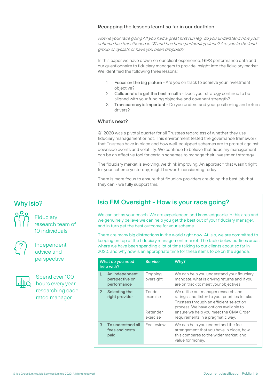## Recapping the lessons learnt so far in our duathlon

How is your race going? If you had a great first run leg, do you understand how your scheme has transitioned in Q1 and has been performing since? Are you in the lead group of cyclists or have you been dropped?

In this paper we have drawn on our client experience, GIPS performance data and our questionnaire to fiduciary managers to provide insight into the fiduciary market. We identified the following three lessons:

- Focus on the big picture Are you on track to achieve your investment objective?
- 2. Collaborate to get the best results Does your strategy continue to be aligned with your funding objective and covenant strength?
- 3. Transparency is important Do you understand your positioning and return drivers?

## What's next?

Q1 2020 was a pivotal quarter for all Trustees regardless of whether they use fiduciary management or not. This environment tested the governance framework that Trustees have in place and how well-equipped schemes are to protect against downside events and volatility. We continue to believe that fiduciary management can be an effective tool for certain schemes to manage their investment strategy.

The fiduciary market is evolving, we think improving. An approach that wasn't right for your scheme yesterday, might be worth considering today.

There is more focus to ensure that fiduciary providers are doing the best job that they can - we fully support this.

# Why Isio?



**Fiduciary** research team of 10 individuals



Independent advice and perspective



Spend over 100 hours every year researching each rated manager

# Isio FM Oversight - How is your race going?

We can act as your coach. We are experienced and knowledgeable in this area and we genuinely believe we can help you get the best out of your fiduciary manager, and in turn get the best outcome for your scheme.

There are many big distractions in the world right now. At Isio, we are committed to keeping on top of the fiduciary management market. The table below outlines areas where we have been spending a lot of time talking to our clients about so far in 2020, and why now is an appropriate time for these items to be on the agenda.

| What do you need<br>help with? |                                                 | <b>Service</b>                             | Why?                                                                                                                                                                                                                                                    |
|--------------------------------|-------------------------------------------------|--------------------------------------------|---------------------------------------------------------------------------------------------------------------------------------------------------------------------------------------------------------------------------------------------------------|
| 1.                             | An independent<br>perspective on<br>performance | Ongoing<br>oversight                       | We can help you understand your fiduciary<br>mandate, what is driving returns and if you<br>are on track to meet your objectives.                                                                                                                       |
| 2.                             | Selecting the<br>right provider                 | Tender<br>exercise<br>Retender<br>exercise | We utilise our manager research and<br>ratings, and, listen to your priorities to take<br>Trustees through an efficient selection<br>process. We have options available to<br>ensure we help you meet the CMA Order<br>requirements in a pragmatic way. |
| 3.                             | To understand all<br>fees and costs<br>paid     | Fee review                                 | We can help you understand the fee<br>arrangement that you have in place, how<br>this compares to the wider market, and<br>value for money.                                                                                                             |